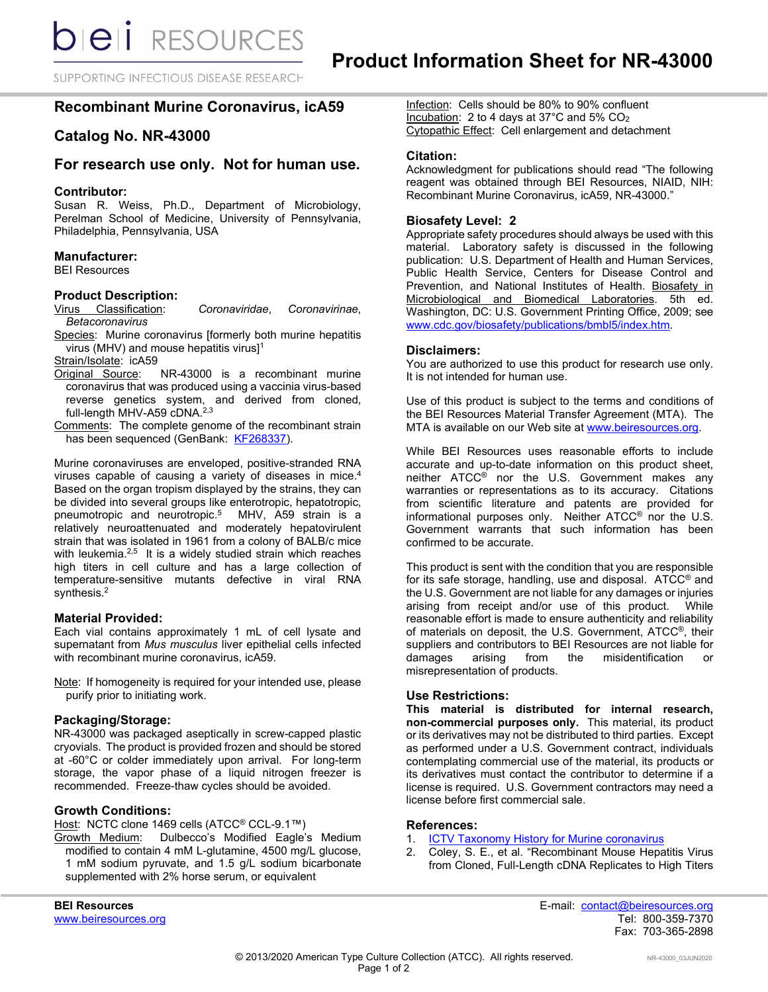SUPPORTING INFECTIOUS DISEASE RESEARCH

# **Recombinant Murine Coronavirus, icA59**

# **Catalog No. NR-43000**

# **For research use only. Not for human use.**

## **Contributor:**

Susan R. Weiss, Ph.D., Department of Microbiology, Perelman School of Medicine, University of Pennsylvania, Philadelphia, Pennsylvania, USA

### **Manufacturer:**

BEI Resources

# **Product Description:**

Virus Classification: *Coronaviridae*, *Coronavirinae*, *Betacoronavirus*

Species: Murine coronavirus [formerly both murine hepatitis virus (MHV) and mouse hepatitis virus] 1

Strain/Isolate: icA59<br>Original Source:

- NR-43000 is a recombinant murine coronavirus that was produced using a vaccinia virus-based reverse genetics system, and derived from cloned, full-length MHV-A59 cDNA.<sup>2,3</sup>
- Comments: The complete genome of the recombinant strain has been sequenced (GenBank: [KF268337\)](http://www.ncbi.nlm.nih.gov/nuccore/KF268337).

Murine coronaviruses are enveloped, positive-stranded RNA viruses capable of causing a variety of diseases in mice.4 Based on the organ tropism displayed by the strains, they can be divided into several groups like enterotropic, hepatotropic, pneumotropic and neurotropic.<sup>5</sup> MHV, A59 strain is a relatively neuroattenuated and moderately hepatovirulent strain that was isolated in 1961 from a colony of BALB/c mice with leukemia. $2.5$  It is a widely studied strain which reaches high titers in cell culture and has a large collection of temperature-sensitive mutants defective in viral RNA synthesis.<sup>2</sup>

## **Material Provided:**

Each vial contains approximately 1 mL of cell lysate and supernatant from *Mus musculus* liver epithelial cells infected with recombinant murine coronavirus, icA59.

Note: If homogeneity is required for your intended use, please purify prior to initiating work.

# **Packaging/Storage:**

NR-43000 was packaged aseptically in screw-capped plastic cryovials. The product is provided frozen and should be stored at -60°C or colder immediately upon arrival. For long-term storage, the vapor phase of a liquid nitrogen freezer is recommended. Freeze-thaw cycles should be avoided.

## **Growth Conditions:**

Host: NCTC clone 1469 cells (ATCC<sup>®</sup> CCL-9.1™)

Growth Medium: Dulbecco's Modified Eagle's Medium modified to contain 4 mM L-glutamine, 4500 mg/L glucose, 1 mM sodium pyruvate, and 1.5 g/L sodium bicarbonate supplemented with 2% horse serum, or equivalent

Infection: Cells should be 80% to 90% confluent Incubation: 2 to 4 days at 37°C and 5% CO2 Cytopathic Effect: Cell enlargement and detachment

### **Citation:**

Acknowledgment for publications should read "The following reagent was obtained through BEI Resources, NIAID, NIH: Recombinant Murine Coronavirus, icA59, NR-43000."

# **Biosafety Level: 2**

Appropriate safety procedures should always be used with this material. Laboratory safety is discussed in the following publication: U.S. Department of Health and Human Services, Public Health Service, Centers for Disease Control and Prevention, and National Institutes of Health. Biosafety in Microbiological and Biomedical Laboratories. 5th ed. Washington, DC: U.S. Government Printing Office, 2009; see [www.cdc.gov/biosafety/publications/bmbl5/index.htm.](http://www.cdc.gov/biosafety/publications/bmbl5/index.htm)

### **Disclaimers:**

You are authorized to use this product for research use only. It is not intended for human use.

Use of this product is subject to the terms and conditions of the BEI Resources Material Transfer Agreement (MTA). The MTA is available on our Web site at [www.beiresources.org.](http://www.beiresources.org/)

While BEI Resources uses reasonable efforts to include accurate and up-to-date information on this product sheet, neither ATCC<sup>®</sup> nor the U.S. Government makes any warranties or representations as to its accuracy. Citations from scientific literature and patents are provided for informational purposes only. Neither ATCC® nor the U.S. Government warrants that such information has been confirmed to be accurate.

This product is sent with the condition that you are responsible for its safe storage, handling, use and disposal. ATCC® and the U.S. Government are not liable for any damages or injuries arising from receipt and/or use of this product. While reasonable effort is made to ensure authenticity and reliability of materials on deposit, the U.S. Government, ATCC®, their suppliers and contributors to BEI Resources are not liable for damages arising from the misidentification or misrepresentation of products.

# **Use Restrictions:**

**This material is distributed for internal research, non-commercial purposes only.** This material, its product or its derivatives may not be distributed to third parties. Except as performed under a U.S. Government contract, individuals contemplating commercial use of the material, its products or its derivatives must contact the contributor to determine if a license is required. U.S. Government contractors may need a license before first commercial sale.

### **References:**

- 1. **[ICTV Taxonomy History for Murine coronavirus](https://talk.ictvonline.org/taxonomy/p/taxonomy-history?taxnode_id=20140897)**
- 2. Coley, S. E., et al. "Recombinant Mouse Hepatitis Virus from Cloned, Full-Length cDNA Replicates to High Titers

www.beiresources.org

**BEI Resources** E-mail: contact@beiresources.org Fax: 703-365-2898